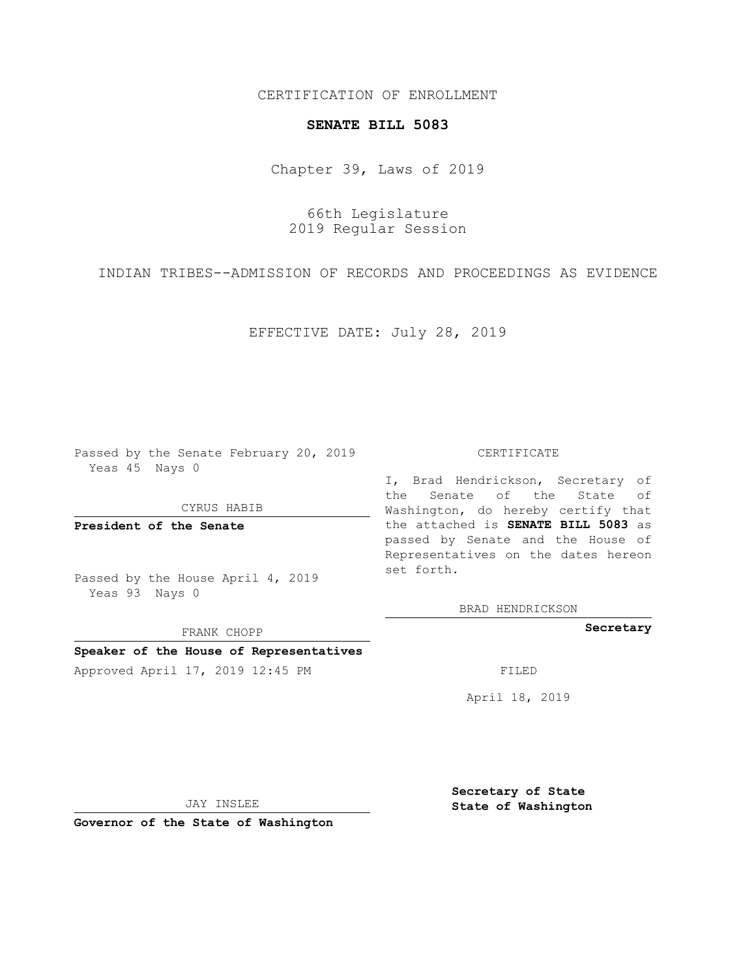## CERTIFICATION OF ENROLLMENT

### **SENATE BILL 5083**

Chapter 39, Laws of 2019

66th Legislature 2019 Regular Session

INDIAN TRIBES--ADMISSION OF RECORDS AND PROCEEDINGS AS EVIDENCE

EFFECTIVE DATE: July 28, 2019

Passed by the Senate February 20, 2019 Yeas 45 Nays 0

CYRUS HABIB

**President of the Senate**

Passed by the House April 4, 2019 Yeas 93 Nays 0

FRANK CHOPP

### **Speaker of the House of Representatives**

Approved April 17, 2019 12:45 PM

#### CERTIFICATE

I, Brad Hendrickson, Secretary of the Senate of the State of Washington, do hereby certify that the attached is **SENATE BILL 5083** as passed by Senate and the House of Representatives on the dates hereon set forth.

BRAD HENDRICKSON

**Secretary**

April 18, 2019

JAY INSLEE

**Governor of the State of Washington**

**Secretary of State State of Washington**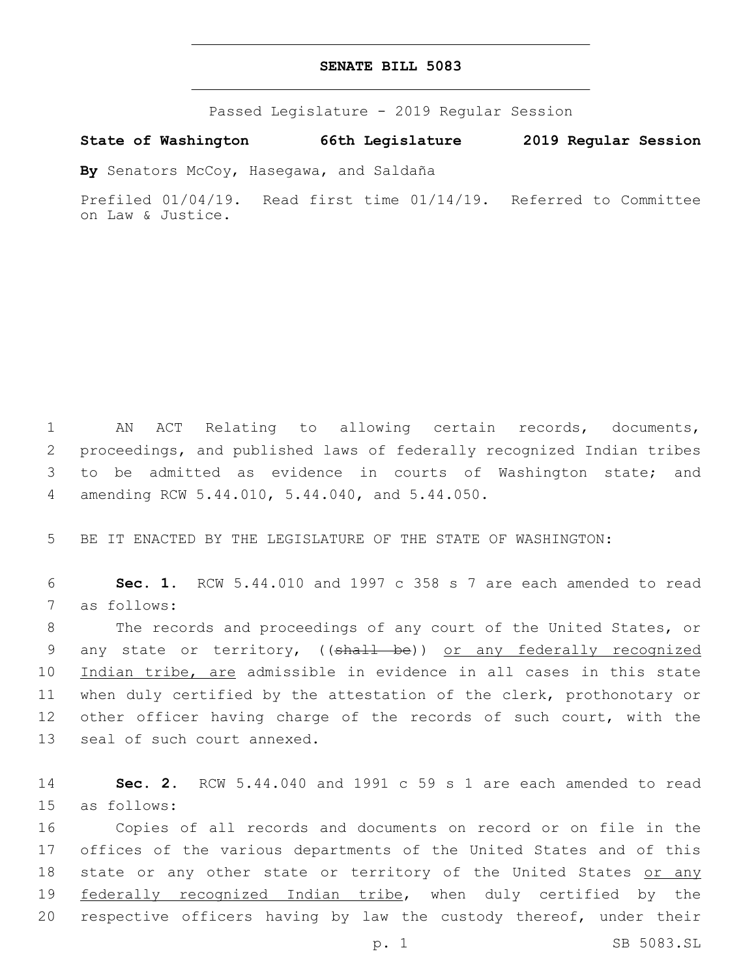# **SENATE BILL 5083**

Passed Legislature - 2019 Regular Session

**State of Washington 66th Legislature 2019 Regular Session**

**By** Senators McCoy, Hasegawa, and Saldaña

Prefiled 01/04/19. Read first time 01/14/19. Referred to Committee on Law & Justice.

1 AN ACT Relating to allowing certain records, documents, 2 proceedings, and published laws of federally recognized Indian tribes 3 to be admitted as evidence in courts of Washington state; and amending RCW 5.44.010, 5.44.040, and 5.44.050.4

5 BE IT ENACTED BY THE LEGISLATURE OF THE STATE OF WASHINGTON:

6 **Sec. 1.** RCW 5.44.010 and 1997 c 358 s 7 are each amended to read 7 as follows:

8 The records and proceedings of any court of the United States, or 9 any state or territory, ((shall be)) or any federally recognized 10 Indian tribe, are admissible in evidence in all cases in this state 11 when duly certified by the attestation of the clerk, prothonotary or 12 other officer having charge of the records of such court, with the 13 seal of such court annexed.

14 **Sec. 2.** RCW 5.44.040 and 1991 c 59 s 1 are each amended to read 15 as follows:

16 Copies of all records and documents on record or on file in the 17 offices of the various departments of the United States and of this 18 state or any other state or territory of the United States or any 19 federally recognized Indian tribe, when duly certified by the 20 respective officers having by law the custody thereof, under their